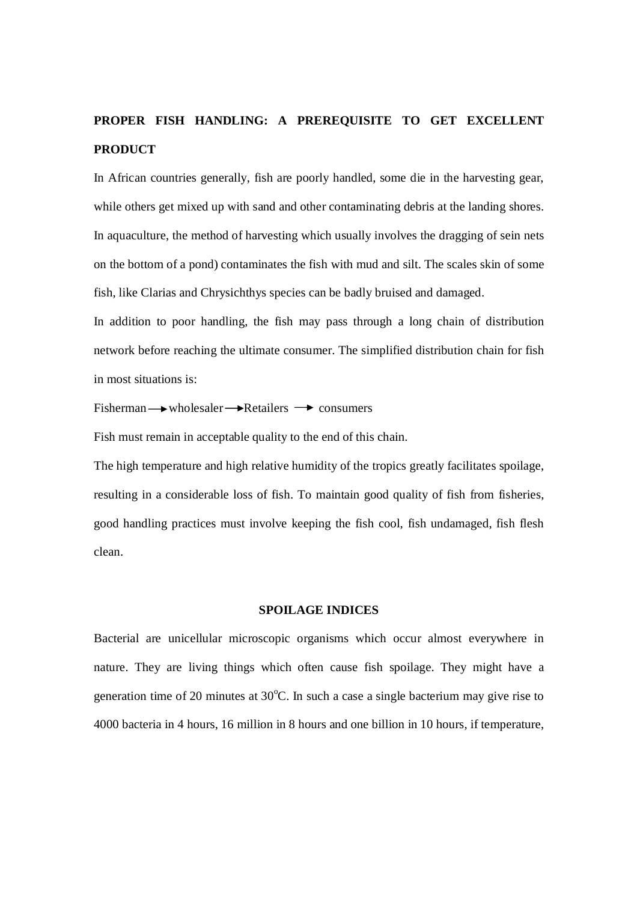# **PROPER FISH HANDLING: A PREREQUISITE TO GET EXCELLENT PRODUCT**

In African countries generally, fish are poorly handled, some die in the harvesting gear, while others get mixed up with sand and other contaminating debris at the landing shores. In aquaculture, the method of harvesting which usually involves the dragging of sein nets on the bottom of a pond) contaminates the fish with mud and silt. The scales skin of some fish, like Clarias and Chrysichthys species can be badly bruised and damaged.

In addition to poor handling, the fish may pass through a long chain of distribution network before reaching the ultimate consumer. The simplified distribution chain for fish in most situations is:

#### Fisherman  $\rightarrow$  wholesaler  $\rightarrow$  Retailers  $\rightarrow$  consumers

Fish must remain in acceptable quality to the end of this chain.

The high temperature and high relative humidity of the tropics greatly facilitates spoilage, resulting in a considerable loss of fish. To maintain good quality of fish from fisheries, good handling practices must involve keeping the fish cool, fish undamaged, fish flesh clean.

## **SPOILAGE INDICES**

Bacterial are unicellular microscopic organisms which occur almost everywhere in nature. They are living things which often cause fish spoilage. They might have a generation time of 20 minutes at  $30^{\circ}$ C. In such a case a single bacterium may give rise to 4000 bacteria in 4 hours, 16 million in 8 hours and one billion in 10 hours, if temperature,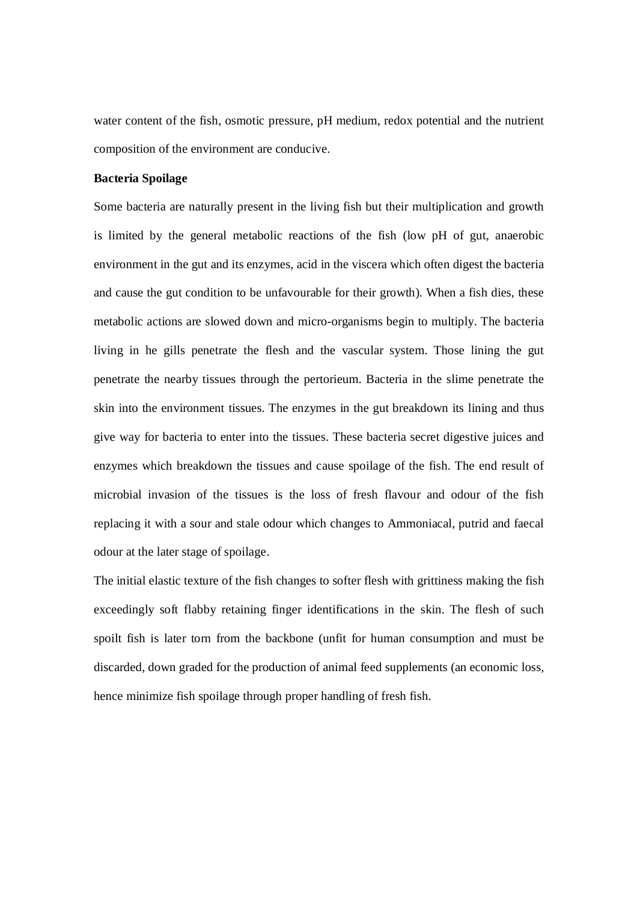water content of the fish, osmotic pressure, pH medium, redox potential and the nutrient composition of the environment are conducive.

## **Bacteria Spoilage**

Some bacteria are naturally present in the living fish but their multiplication and growth is limited by the general metabolic reactions of the fish (low pH of gut, anaerobic environment in the gut and its enzymes, acid in the viscera which often digest the bacteria and cause the gut condition to be unfavourable for their growth). When a fish dies, these metabolic actions are slowed down and micro-organisms begin to multiply. The bacteria living in he gills penetrate the flesh and the vascular system. Those lining the gut penetrate the nearby tissues through the pertorieum. Bacteria in the slime penetrate the skin into the environment tissues. The enzymes in the gut breakdown its lining and thus give way for bacteria to enter into the tissues. These bacteria secret digestive juices and enzymes which breakdown the tissues and cause spoilage of the fish. The end result of microbial invasion of the tissues is the loss of fresh flavour and odour of the fish replacing it with a sour and stale odour which changes to Ammoniacal, putrid and faecal odour at the later stage of spoilage.

The initial elastic texture of the fish changes to softer flesh with grittiness making the fish exceedingly soft flabby retaining finger identifications in the skin. The flesh of such spoilt fish is later torn from the backbone (unfit for human consumption and must be discarded, down graded for the production of animal feed supplements (an economic loss, hence minimize fish spoilage through proper handling of fresh fish.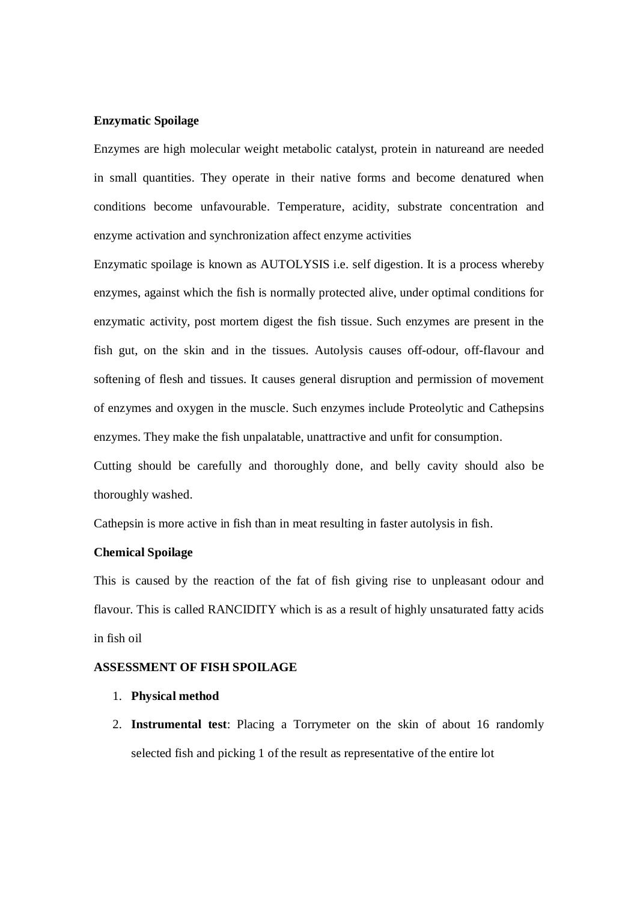#### **Enzymatic Spoilage**

Enzymes are high molecular weight metabolic catalyst, protein in natureand are needed in small quantities. They operate in their native forms and become denatured when conditions become unfavourable. Temperature, acidity, substrate concentration and enzyme activation and synchronization affect enzyme activities

Enzymatic spoilage is known as AUTOLYSIS i.e. self digestion. It is a process whereby enzymes, against which the fish is normally protected alive, under optimal conditions for enzymatic activity, post mortem digest the fish tissue. Such enzymes are present in the fish gut, on the skin and in the tissues. Autolysis causes off-odour, off-flavour and softening of flesh and tissues. It causes general disruption and permission of movement of enzymes and oxygen in the muscle. Such enzymes include Proteolytic and Cathepsins enzymes. They make the fish unpalatable, unattractive and unfit for consumption.

Cutting should be carefully and thoroughly done, and belly cavity should also be thoroughly washed.

Cathepsin is more active in fish than in meat resulting in faster autolysis in fish.

## **Chemical Spoilage**

This is caused by the reaction of the fat of fish giving rise to unpleasant odour and flavour. This is called RANCIDITY which is as a result of highly unsaturated fatty acids in fish oil

#### **ASSESSMENT OF FISH SPOILAGE**

- 1. **Physical method**
- 2. **Instrumental test**: Placing a Torrymeter on the skin of about 16 randomly selected fish and picking 1 of the result as representative of the entire lot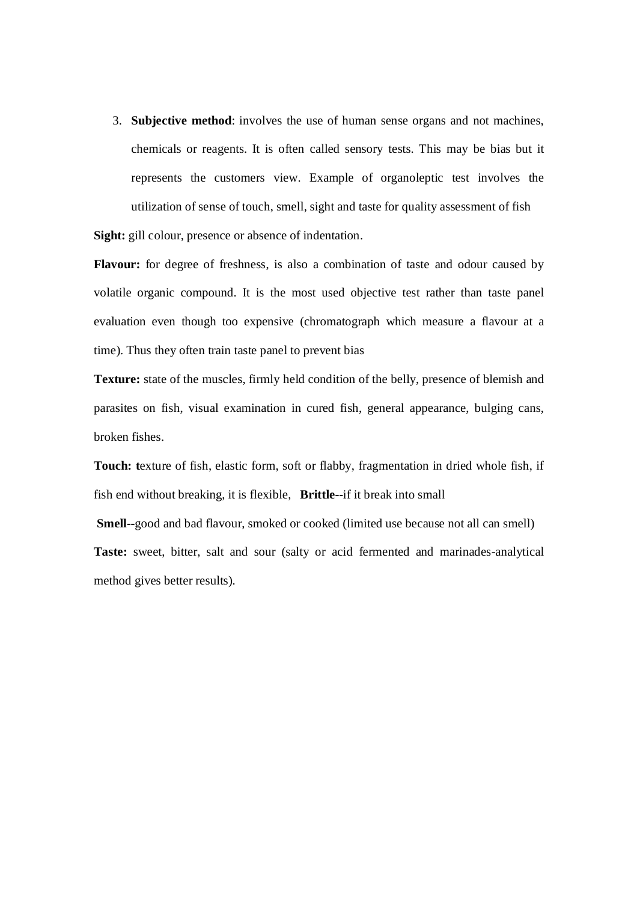3. **Subjective method**: involves the use of human sense organs and not machines, chemicals or reagents. It is often called sensory tests. This may be bias but it represents the customers view. Example of organoleptic test involves the utilization of sense of touch, smell, sight and taste for quality assessment of fish **Sight:** gill colour, presence or absence of indentation.

Flavour: for degree of freshness, is also a combination of taste and odour caused by volatile organic compound. It is the most used objective test rather than taste panel evaluation even though too expensive (chromatograph which measure a flavour at a time). Thus they often train taste panel to prevent bias

**Texture:** state of the muscles, firmly held condition of the belly, presence of blemish and parasites on fish, visual examination in cured fish, general appearance, bulging cans, broken fishes.

**Touch: t**exture of fish, elastic form, soft or flabby, fragmentation in dried whole fish, if fish end without breaking, it is flexible, **Brittle--**if it break into small

**Smell--**good and bad flavour, smoked or cooked (limited use because not all can smell) Taste: sweet, bitter, salt and sour (salty or acid fermented and marinades-analytical method gives better results).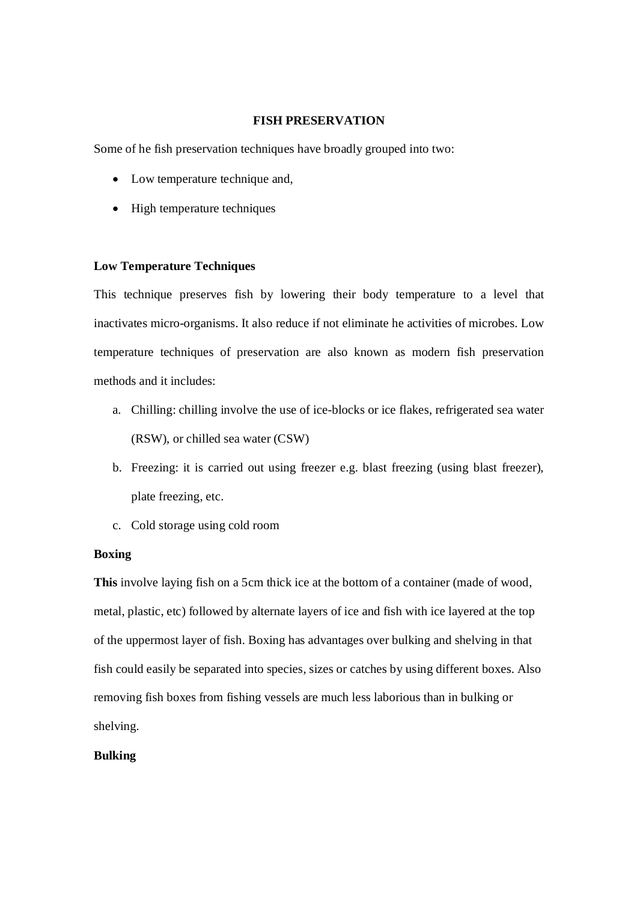### **FISH PRESERVATION**

Some of he fish preservation techniques have broadly grouped into two:

- Low temperature technique and,
- High temperature techniques

## **Low Temperature Techniques**

This technique preserves fish by lowering their body temperature to a level that inactivates micro-organisms. It also reduce if not eliminate he activities of microbes. Low temperature techniques of preservation are also known as modern fish preservation methods and it includes:

- a. Chilling: chilling involve the use of ice-blocks or ice flakes, refrigerated sea water (RSW), or chilled sea water (CSW)
- b. Freezing: it is carried out using freezer e.g. blast freezing (using blast freezer), plate freezing, etc.
- c. Cold storage using cold room

## **Boxing**

**This** involve laying fish on a 5cm thick ice at the bottom of a container (made of wood, metal, plastic, etc) followed by alternate layers of ice and fish with ice layered at the top of the uppermost layer of fish. Boxing has advantages over bulking and shelving in that fish could easily be separated into species, sizes or catches by using different boxes. Also removing fish boxes from fishing vessels are much less laborious than in bulking or shelving.

## **Bulking**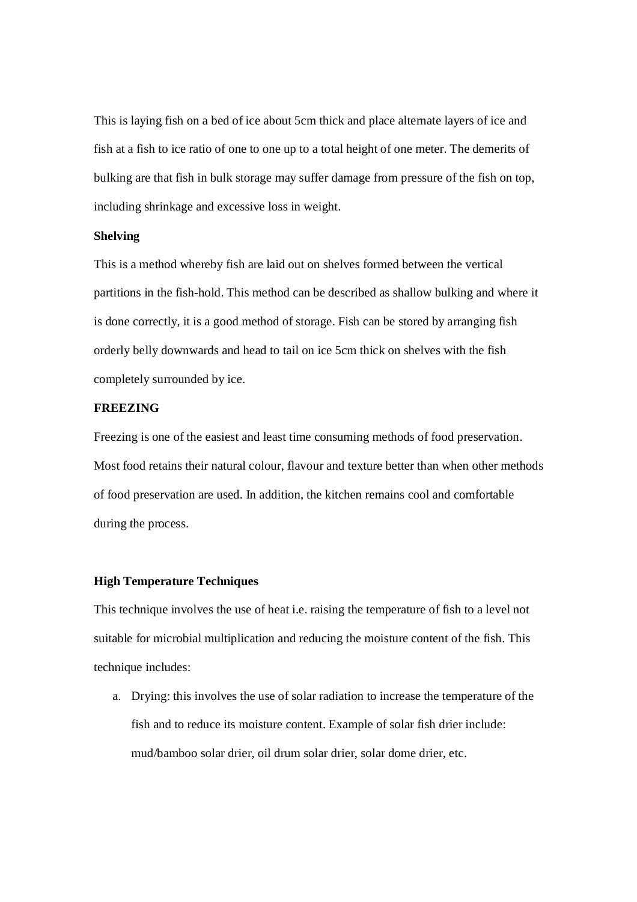This is laying fish on a bed of ice about 5cm thick and place alternate layers of ice and fish at a fish to ice ratio of one to one up to a total height of one meter. The demerits of bulking are that fish in bulk storage may suffer damage from pressure of the fish on top, including shrinkage and excessive loss in weight.

## **Shelving**

This is a method whereby fish are laid out on shelves formed between the vertical partitions in the fish-hold. This method can be described as shallow bulking and where it is done correctly, it is a good method of storage. Fish can be stored by arranging fish orderly belly downwards and head to tail on ice 5cm thick on shelves with the fish completely surrounded by ice.

## **FREEZING**

Freezing is one of the easiest and least time consuming methods of food preservation. Most food retains their natural colour, flavour and texture better than when other methods of food preservation are used. In addition, the kitchen remains cool and comfortable during the process.

# **High Temperature Techniques**

This technique involves the use of heat i.e. raising the temperature of fish to a level not suitable for microbial multiplication and reducing the moisture content of the fish. This technique includes:

a. Drying: this involves the use of solar radiation to increase the temperature of the fish and to reduce its moisture content. Example of solar fish drier include: mud/bamboo solar drier, oil drum solar drier, solar dome drier, etc.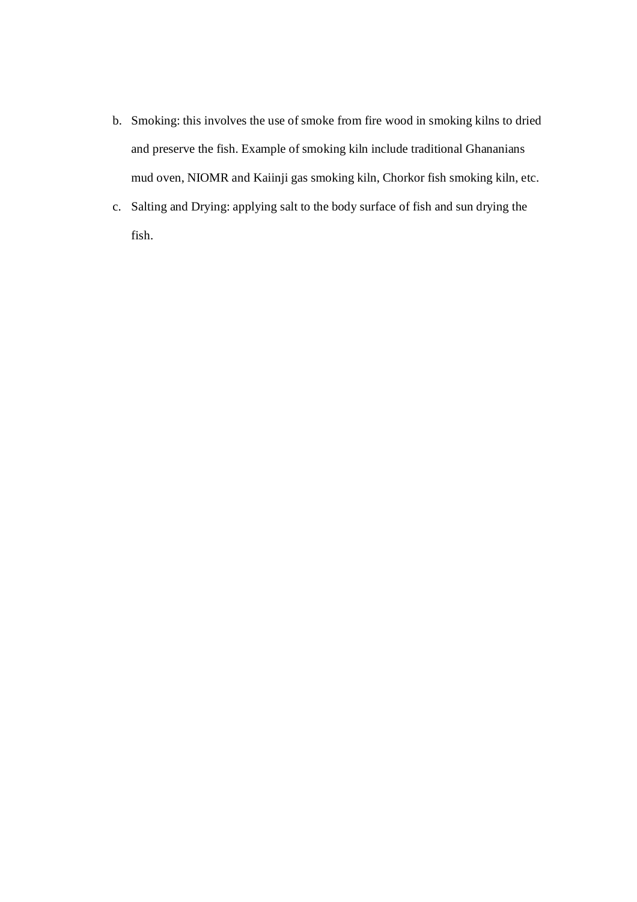- b. Smoking: this involves the use of smoke from fire wood in smoking kilns to dried and preserve the fish. Example of smoking kiln include traditional Ghananians mud oven, NIOMR and Kaiinji gas smoking kiln, Chorkor fish smoking kiln, etc.
- c. Salting and Drying: applying salt to the body surface of fish and sun drying the fish.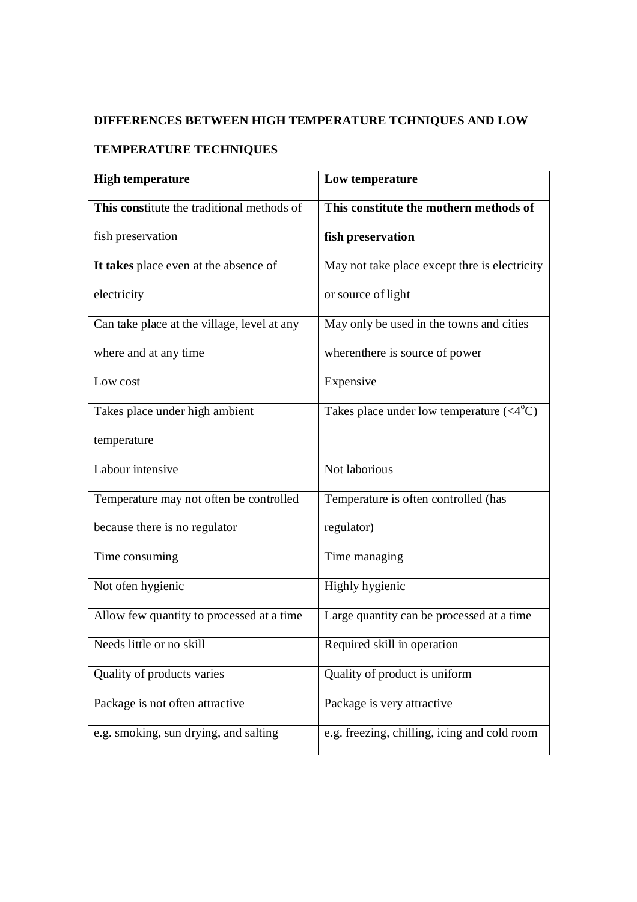# **DIFFERENCES BETWEEN HIGH TEMPERATURE TCHNIQUES AND LOW**

# **TEMPERATURE TECHNIQUES**

| <b>High temperature</b>                     | Low temperature                                  |
|---------------------------------------------|--------------------------------------------------|
| This constitute the traditional methods of  | This constitute the mothern methods of           |
| fish preservation                           | fish preservation                                |
| It takes place even at the absence of       | May not take place except thre is electricity    |
| electricity                                 | or source of light                               |
| Can take place at the village, level at any | May only be used in the towns and cities         |
| where and at any time                       | wherenthere is source of power                   |
| Low cost                                    | Expensive                                        |
| Takes place under high ambient              | Takes place under low temperature $(4^{\circ}C)$ |
| temperature                                 |                                                  |
| Labour intensive                            | Not laborious                                    |
| Temperature may not often be controlled     | Temperature is often controlled (has             |
| because there is no regulator               | regulator)                                       |
| Time consuming                              | Time managing                                    |
| Not ofen hygienic                           | Highly hygienic                                  |
| Allow few quantity to processed at a time   | Large quantity can be processed at a time        |
| Needs little or no skill                    | Required skill in operation                      |
| Quality of products varies                  | Quality of product is uniform                    |
| Package is not often attractive             | Package is very attractive                       |
| e.g. smoking, sun drying, and salting       | e.g. freezing, chilling, icing and cold room     |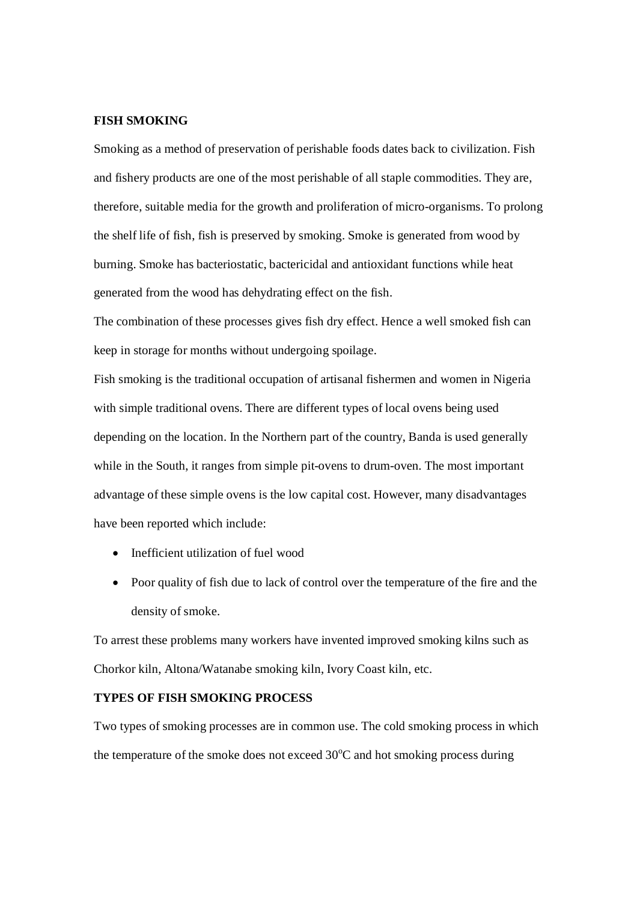## **FISH SMOKING**

Smoking as a method of preservation of perishable foods dates back to civilization. Fish and fishery products are one of the most perishable of all staple commodities. They are, therefore, suitable media for the growth and proliferation of micro-organisms. To prolong the shelf life of fish, fish is preserved by smoking. Smoke is generated from wood by burning. Smoke has bacteriostatic, bactericidal and antioxidant functions while heat generated from the wood has dehydrating effect on the fish.

The combination of these processes gives fish dry effect. Hence a well smoked fish can keep in storage for months without undergoing spoilage.

Fish smoking is the traditional occupation of artisanal fishermen and women in Nigeria with simple traditional ovens. There are different types of local ovens being used depending on the location. In the Northern part of the country, Banda is used generally while in the South, it ranges from simple pit-ovens to drum-oven. The most important advantage of these simple ovens is the low capital cost. However, many disadvantages have been reported which include:

- Inefficient utilization of fuel wood
- Poor quality of fish due to lack of control over the temperature of the fire and the density of smoke.

To arrest these problems many workers have invented improved smoking kilns such as Chorkor kiln, Altona/Watanabe smoking kiln, Ivory Coast kiln, etc.

# **TYPES OF FISH SMOKING PROCESS**

Two types of smoking processes are in common use. The cold smoking process in which the temperature of the smoke does not exceed  $30^{\circ}$ C and hot smoking process during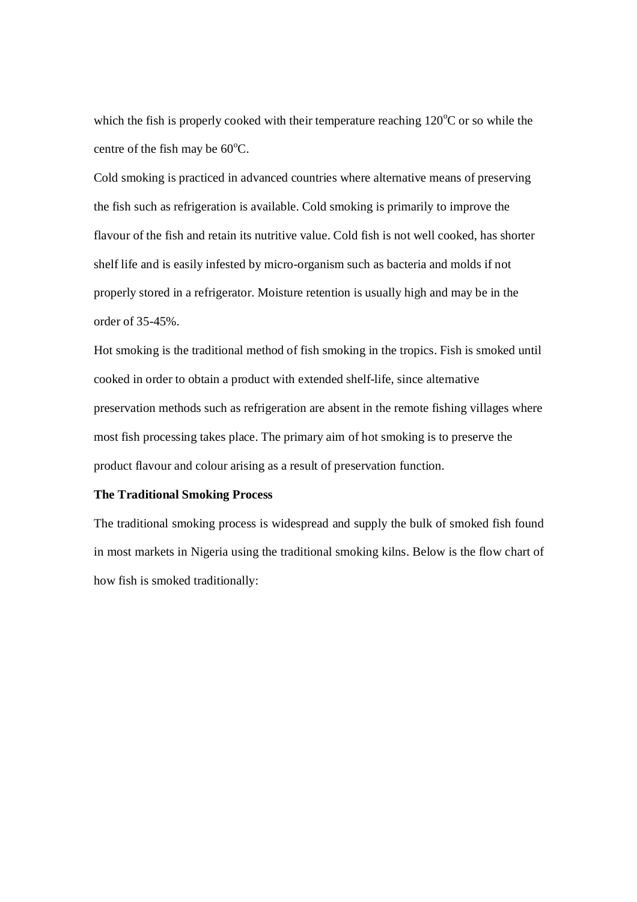which the fish is properly cooked with their temperature reaching  $120^{\circ}$ C or so while the centre of the fish may be  $60^{\circ}$ C.

Cold smoking is practiced in advanced countries where alternative means of preserving the fish such as refrigeration is available. Cold smoking is primarily to improve the flavour of the fish and retain its nutritive value. Cold fish is not well cooked, has shorter shelf life and is easily infested by micro-organism such as bacteria and molds if not properly stored in a refrigerator. Moisture retention is usually high and may be in the order of 35-45%.

Hot smoking is the traditional method of fish smoking in the tropics. Fish is smoked until cooked in order to obtain a product with extended shelf-life, since alternative preservation methods such as refrigeration are absent in the remote fishing villages where most fish processing takes place. The primary aim of hot smoking is to preserve the product flavour and colour arising as a result of preservation function.

## **The Traditional Smoking Process**

The traditional smoking process is widespread and supply the bulk of smoked fish found in most markets in Nigeria using the traditional smoking kilns. Below is the flow chart of how fish is smoked traditionally: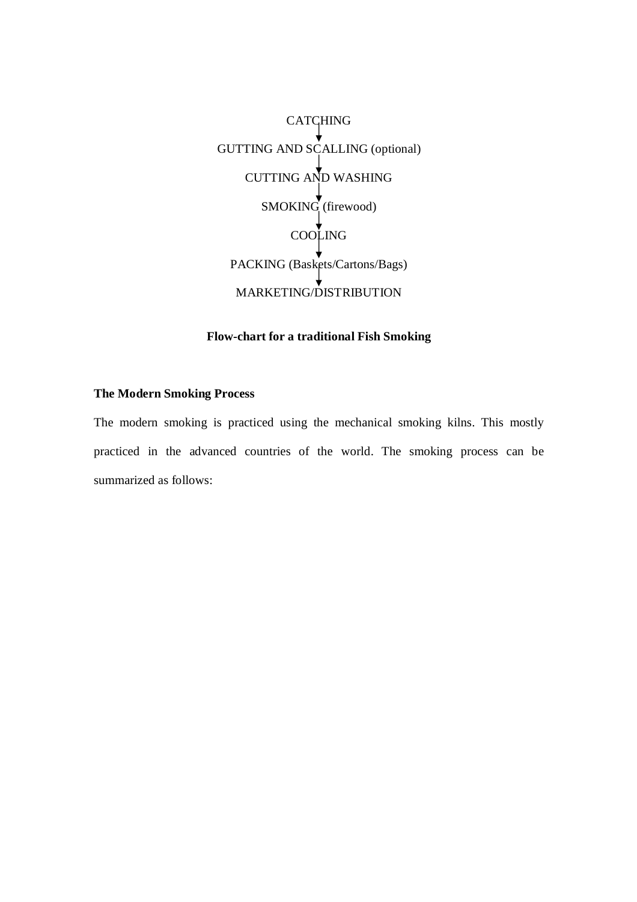**CATCHING** GUTTING AND SCALLING (optional) CUTTING AND WASHING SMOKING (firewood) COOLING PACKING (Baskets/Cartons/Bags) MARKETING/DISTRIBUTION

# **Flow-chart for a traditional Fish Smoking**

## **The Modern Smoking Process**

The modern smoking is practiced using the mechanical smoking kilns. This mostly practiced in the advanced countries of the world. The smoking process can be summarized as follows: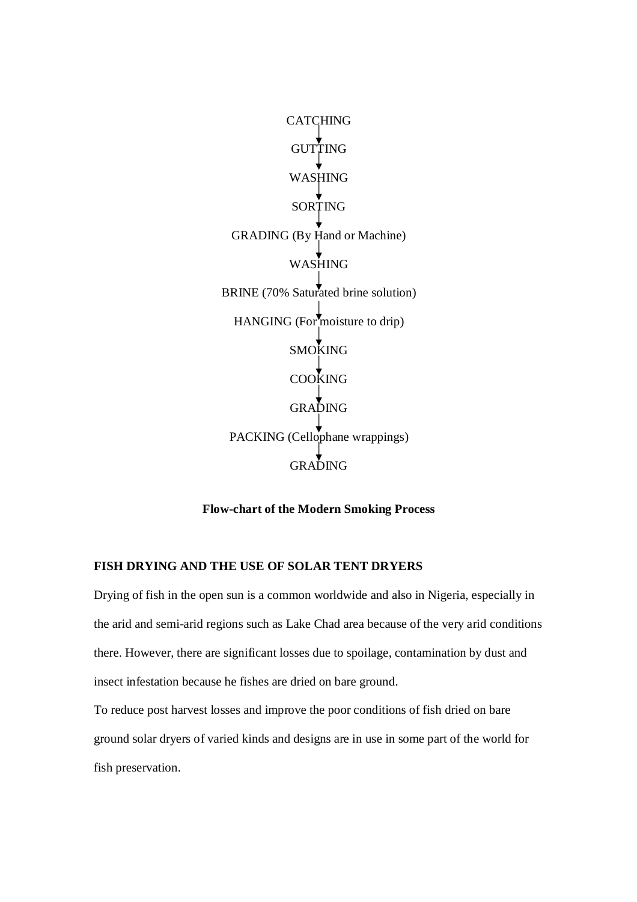**CATCHING GUTTING** WASHING SORTING GRADING (By Hand or Machine) WASHING BRINE (70% Saturated brine solution) HANGING (For moisture to drip) SMOKING COOKING GRADING PACKING (Cellophane wrappings) GRADING

## **Flow-chart of the Modern Smoking Process**

## **FISH DRYING AND THE USE OF SOLAR TENT DRYERS**

Drying of fish in the open sun is a common worldwide and also in Nigeria, especially in the arid and semi-arid regions such as Lake Chad area because of the very arid conditions there. However, there are significant losses due to spoilage, contamination by dust and insect infestation because he fishes are dried on bare ground.

To reduce post harvest losses and improve the poor conditions of fish dried on bare ground solar dryers of varied kinds and designs are in use in some part of the world for fish preservation.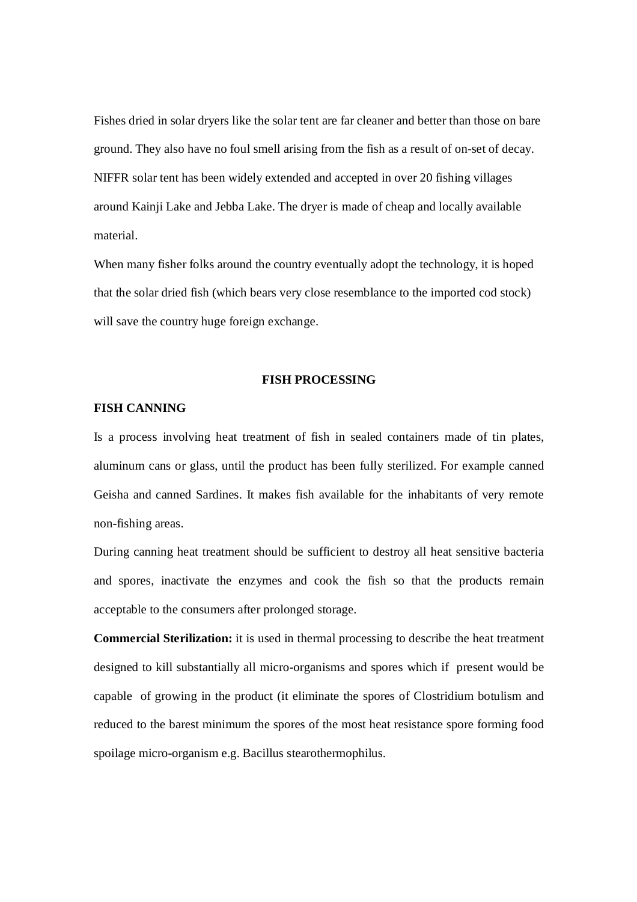Fishes dried in solar dryers like the solar tent are far cleaner and better than those on bare ground. They also have no foul smell arising from the fish as a result of on-set of decay. NIFFR solar tent has been widely extended and accepted in over 20 fishing villages around Kainji Lake and Jebba Lake. The dryer is made of cheap and locally available material.

When many fisher folks around the country eventually adopt the technology, it is hoped that the solar dried fish (which bears very close resemblance to the imported cod stock) will save the country huge foreign exchange.

#### **FISH PROCESSING**

#### **FISH CANNING**

Is a process involving heat treatment of fish in sealed containers made of tin plates, aluminum cans or glass, until the product has been fully sterilized. For example canned Geisha and canned Sardines. It makes fish available for the inhabitants of very remote non-fishing areas.

During canning heat treatment should be sufficient to destroy all heat sensitive bacteria and spores, inactivate the enzymes and cook the fish so that the products remain acceptable to the consumers after prolonged storage.

**Commercial Sterilization:** it is used in thermal processing to describe the heat treatment designed to kill substantially all micro-organisms and spores which if present would be capable of growing in the product (it eliminate the spores of Clostridium botulism and reduced to the barest minimum the spores of the most heat resistance spore forming food spoilage micro-organism e.g. Bacillus stearothermophilus.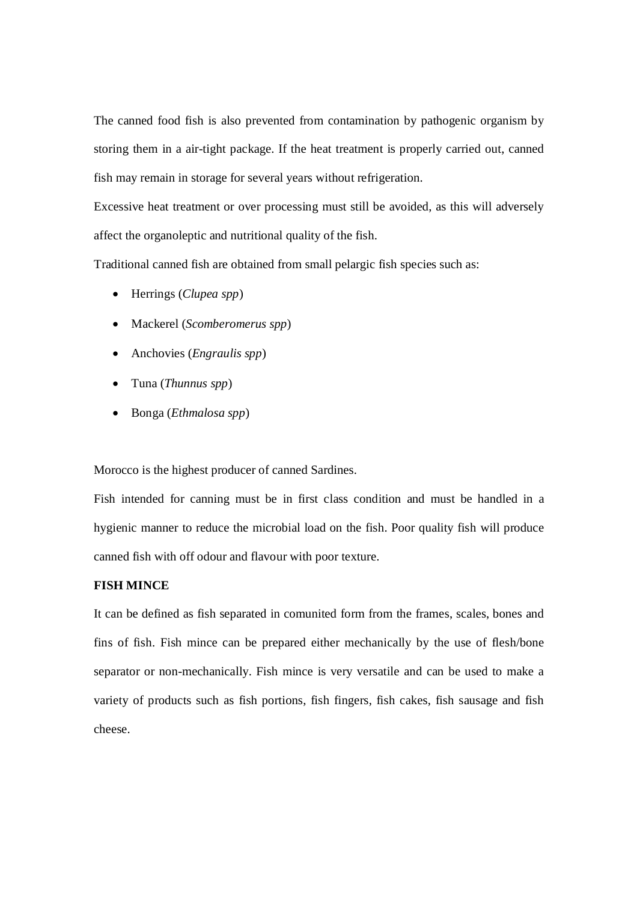The canned food fish is also prevented from contamination by pathogenic organism by storing them in a air-tight package. If the heat treatment is properly carried out, canned fish may remain in storage for several years without refrigeration.

Excessive heat treatment or over processing must still be avoided, as this will adversely affect the organoleptic and nutritional quality of the fish.

Traditional canned fish are obtained from small pelargic fish species such as:

- Herrings (*Clupea spp*)
- Mackerel (*Scomberomerus spp*)
- Anchovies (*Engraulis spp*)
- Tuna (*Thunnus spp*)
- Bonga (*Ethmalosa spp*)

Morocco is the highest producer of canned Sardines.

Fish intended for canning must be in first class condition and must be handled in a hygienic manner to reduce the microbial load on the fish. Poor quality fish will produce canned fish with off odour and flavour with poor texture.

# **FISH MINCE**

It can be defined as fish separated in comunited form from the frames, scales, bones and fins of fish. Fish mince can be prepared either mechanically by the use of flesh/bone separator or non-mechanically. Fish mince is very versatile and can be used to make a variety of products such as fish portions, fish fingers, fish cakes, fish sausage and fish cheese.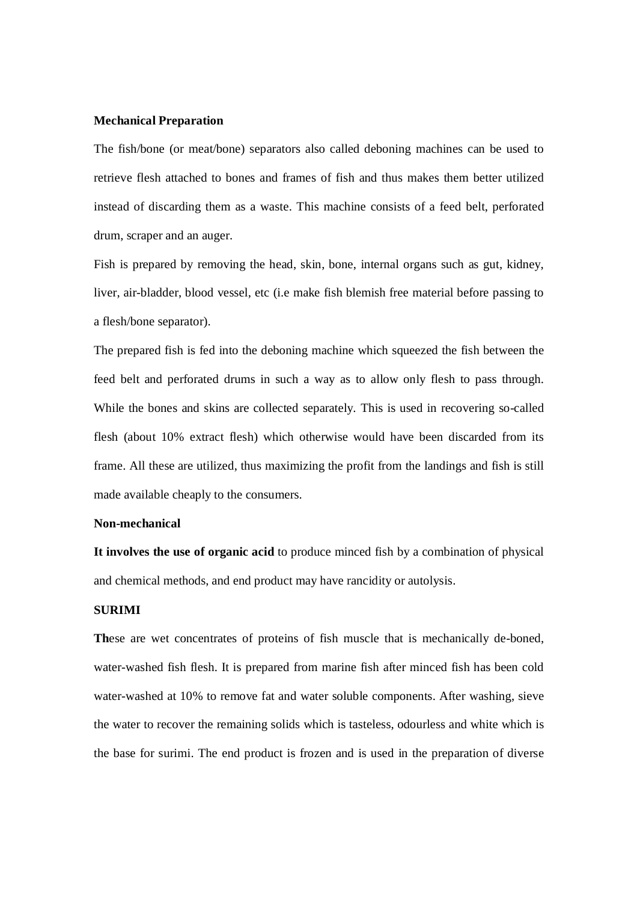#### **Mechanical Preparation**

The fish/bone (or meat/bone) separators also called deboning machines can be used to retrieve flesh attached to bones and frames of fish and thus makes them better utilized instead of discarding them as a waste. This machine consists of a feed belt, perforated drum, scraper and an auger.

Fish is prepared by removing the head, skin, bone, internal organs such as gut, kidney, liver, air-bladder, blood vessel, etc (i.e make fish blemish free material before passing to a flesh/bone separator).

The prepared fish is fed into the deboning machine which squeezed the fish between the feed belt and perforated drums in such a way as to allow only flesh to pass through. While the bones and skins are collected separately. This is used in recovering so-called flesh (about 10% extract flesh) which otherwise would have been discarded from its frame. All these are utilized, thus maximizing the profit from the landings and fish is still made available cheaply to the consumers.

### **Non-mechanical**

**It involves the use of organic acid** to produce minced fish by a combination of physical and chemical methods, and end product may have rancidity or autolysis.

## **SURIMI**

**Th**ese are wet concentrates of proteins of fish muscle that is mechanically de-boned, water-washed fish flesh. It is prepared from marine fish after minced fish has been cold water-washed at 10% to remove fat and water soluble components. After washing, sieve the water to recover the remaining solids which is tasteless, odourless and white which is the base for surimi. The end product is frozen and is used in the preparation of diverse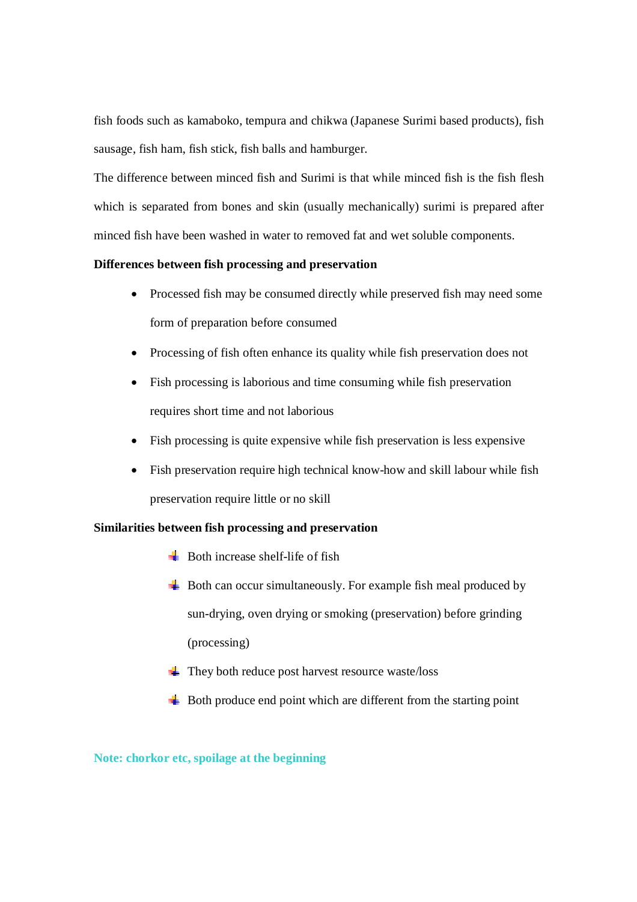fish foods such as kamaboko, tempura and chikwa (Japanese Surimi based products), fish sausage, fish ham, fish stick, fish balls and hamburger.

The difference between minced fish and Surimi is that while minced fish is the fish flesh which is separated from bones and skin (usually mechanically) surimi is prepared after minced fish have been washed in water to removed fat and wet soluble components.

## **Differences between fish processing and preservation**

- Processed fish may be consumed directly while preserved fish may need some form of preparation before consumed
- Processing of fish often enhance its quality while fish preservation does not
- Fish processing is laborious and time consuming while fish preservation requires short time and not laborious
- Fish processing is quite expensive while fish preservation is less expensive
- Fish preservation require high technical know-how and skill labour while fish preservation require little or no skill

## **Similarities between fish processing and preservation**

- $\blacksquare$  Both increase shelf-life of fish
- $\overline{\mathbf{B}}$  Both can occur simultaneously. For example fish meal produced by sun-drying, oven drying or smoking (preservation) before grinding (processing)
- $\frac{1}{\sqrt{2}}$  They both reduce post harvest resource waste/loss
- $\frac{1}{\sqrt{2}}$  Both produce end point which are different from the starting point

**Note: chorkor etc, spoilage at the beginning**